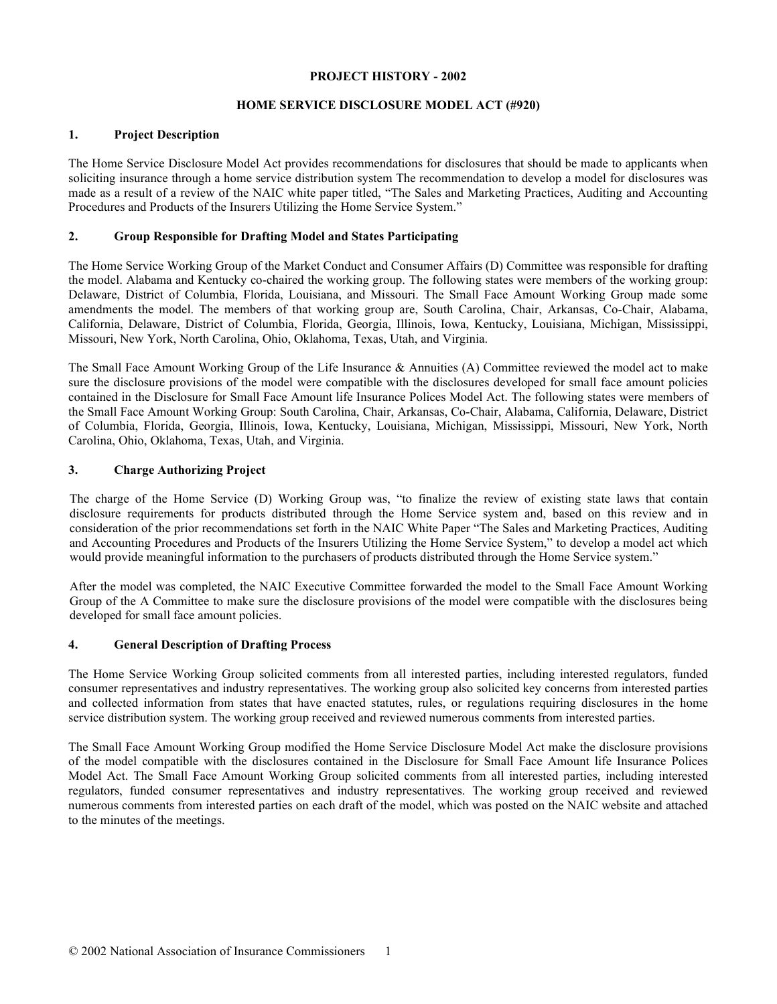#### **PROJECT HISTORY - 2002**

# **HOME SERVICE DISCLOSURE MODEL ACT (#920)**

### **1. Project Description**

The Home Service Disclosure Model Act provides recommendations for disclosures that should be made to applicants when soliciting insurance through a home service distribution system The recommendation to develop a model for disclosures was made as a result of a review of the NAIC white paper titled, "The Sales and Marketing Practices, Auditing and Accounting Procedures and Products of the Insurers Utilizing the Home Service System."

## **2. Group Responsible for Drafting Model and States Participating**

The Home Service Working Group of the Market Conduct and Consumer Affairs (D) Committee was responsible for drafting the model. Alabama and Kentucky co-chaired the working group. The following states were members of the working group: Delaware, District of Columbia, Florida, Louisiana, and Missouri. The Small Face Amount Working Group made some amendments the model. The members of that working group are, South Carolina, Chair, Arkansas, Co-Chair, Alabama, California, Delaware, District of Columbia, Florida, Georgia, Illinois, Iowa, Kentucky, Louisiana, Michigan, Mississippi, Missouri, New York, North Carolina, Ohio, Oklahoma, Texas, Utah, and Virginia.

The Small Face Amount Working Group of the Life Insurance & Annuities (A) Committee reviewed the model act to make sure the disclosure provisions of the model were compatible with the disclosures developed for small face amount policies contained in the Disclosure for Small Face Amount life Insurance Polices Model Act. The following states were members of the Small Face Amount Working Group: South Carolina, Chair, Arkansas, Co-Chair, Alabama, California, Delaware, District of Columbia, Florida, Georgia, Illinois, Iowa, Kentucky, Louisiana, Michigan, Mississippi, Missouri, New York, North Carolina, Ohio, Oklahoma, Texas, Utah, and Virginia.

### **3. Charge Authorizing Project**

The charge of the Home Service (D) Working Group was, "to finalize the review of existing state laws that contain disclosure requirements for products distributed through the Home Service system and, based on this review and in consideration of the prior recommendations set forth in the NAIC White Paper "The Sales and Marketing Practices, Auditing and Accounting Procedures and Products of the Insurers Utilizing the Home Service System," to develop a model act which would provide meaningful information to the purchasers of products distributed through the Home Service system."

After the model was completed, the NAIC Executive Committee forwarded the model to the Small Face Amount Working Group of the A Committee to make sure the disclosure provisions of the model were compatible with the disclosures being developed for small face amount policies.

# **4. General Description of Drafting Process**

The Home Service Working Group solicited comments from all interested parties, including interested regulators, funded consumer representatives and industry representatives. The working group also solicited key concerns from interested parties and collected information from states that have enacted statutes, rules, or regulations requiring disclosures in the home service distribution system. The working group received and reviewed numerous comments from interested parties.

The Small Face Amount Working Group modified the Home Service Disclosure Model Act make the disclosure provisions of the model compatible with the disclosures contained in the Disclosure for Small Face Amount life Insurance Polices Model Act. The Small Face Amount Working Group solicited comments from all interested parties, including interested regulators, funded consumer representatives and industry representatives. The working group received and reviewed numerous comments from interested parties on each draft of the model, which was posted on the NAIC website and attached to the minutes of the meetings.